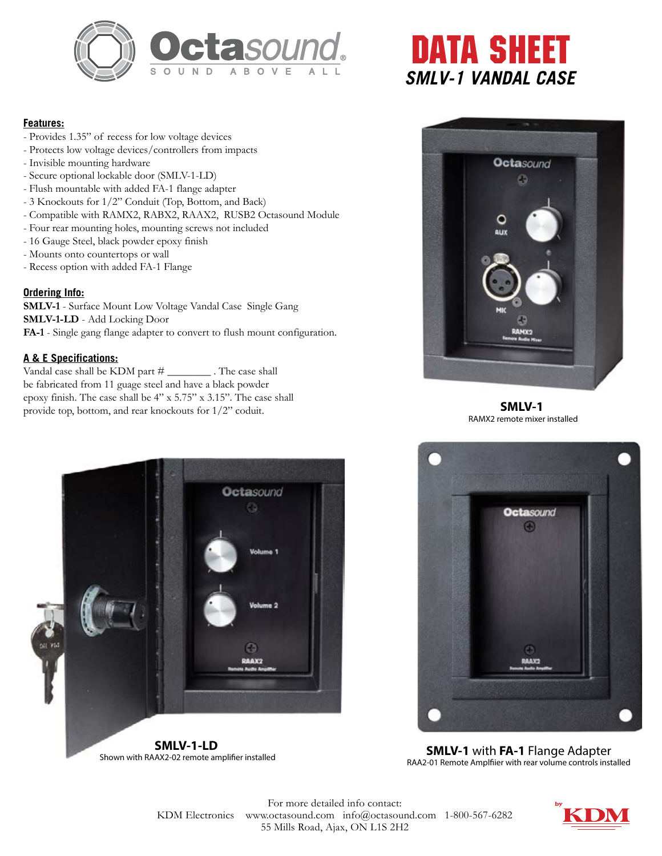

## **Features:**

- Provides 1.35" of recess for low voltage devices
- Protects low voltage devices/controllers from impacts
- Invisible mounting hardware
- Secure optional lockable door (SMLV-1-LD)
- Flush mountable with added FA-1 flange adapter
- 3 Knockouts for 1/2" Conduit (Top, Bottom, and Back)
- Compatible with RAMX2, RABX2, RAAX2, RUSB2 Octasound Module
- Four rear mounting holes, mounting screws not included
- 16 Gauge Steel, black powder epoxy finish
- Mounts onto countertops or wall
- Recess option with added FA-1 Flange

## **Ordering Info:**

**SMLV-1** - Surface Mount Low Voltage Vandal Case Single Gang **SMLV-1-LD** - Add Locking Door **FA-1** - Single gang flange adapter to convert to flush mount configuration.

## **A & E Specifications:**

Vandal case shall be KDM part # \_\_\_\_\_\_\_\_ . The case shall be fabricated from 11 guage steel and have a black powder epoxy finish. The case shall be 4" x 5.75" x 3.15". The case shall provide top, bottom, and rear knockouts for 1/2" coduit.





**SMLV-1**  RAMX2 remote mixer installed



**SMLV-1-LD**  Shown with RAAX2-02 remote amplifier installed



**SMLV-1** with **FA-1** Flange Adapter RAA2-01 Remote Amplfiier with rear volume controls installed

For more detailed info contact: KDM Electronics www.octasound.com info@octasound.com 1-800-567-6282 55 Mills Road, Ajax, ON L1S 2H2